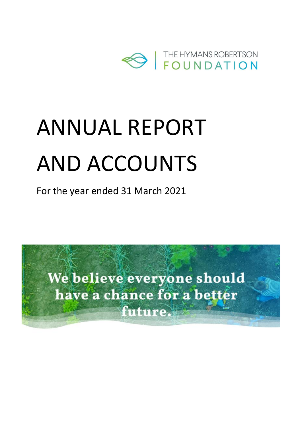

# ANNUAL REPORT AND ACCOUNTS

For the year ended 31 March 2021

We believe everyone should have a chance for a better future.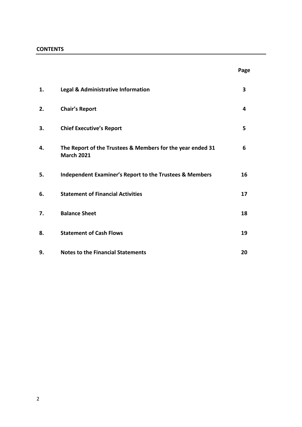#### **CONTENTS**

| 1. | Legal & Administrative Information                                              | 3  |
|----|---------------------------------------------------------------------------------|----|
| 2. | <b>Chair's Report</b>                                                           | 4  |
| 3. | <b>Chief Executive's Report</b>                                                 | 5  |
| 4. | The Report of the Trustees & Members for the year ended 31<br><b>March 2021</b> | 6  |
| 5. | <b>Independent Examiner's Report to the Trustees &amp; Members</b>              | 16 |
| 6. | <b>Statement of Financial Activities</b>                                        | 17 |
| 7. | <b>Balance Sheet</b>                                                            | 18 |
| 8. | <b>Statement of Cash Flows</b>                                                  | 19 |
| 9. | <b>Notes to the Financial Statements</b>                                        | 20 |

**Page**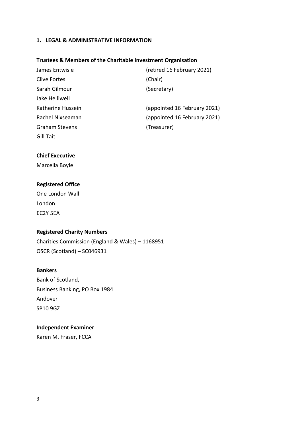#### **1. LEGAL & ADMINISTRATIVE INFORMATION**

#### **Trustees & Members of the Charitable Investment Organisation**

| James Entwisle        | (retired 16 February 2021)   |
|-----------------------|------------------------------|
| Clive Fortes          | (Chair)                      |
| Sarah Gilmour         | (Secretary)                  |
| Jake Helliwell        |                              |
| Katherine Hussein     | (appointed 16 February 2021) |
| Rachel Nixseaman      | (appointed 16 February 2021) |
| <b>Graham Stevens</b> | (Treasurer)                  |
| Gill Tait             |                              |

#### **Chief Executive**

Marcella Boyle

#### **Registered Office**

| One London Wall |  |
|-----------------|--|
| London          |  |
| EC2Y 5EA        |  |

#### **Registered Charity Numbers**

Charities Commission (England & Wales) – 1168951 OSCR (Scotland) – SC046931

#### **Bankers**

Bank of Scotland, Business Banking, PO Box 1984 Andover SP10 9GZ

#### **Independent Examiner**

Karen M. Fraser, FCCA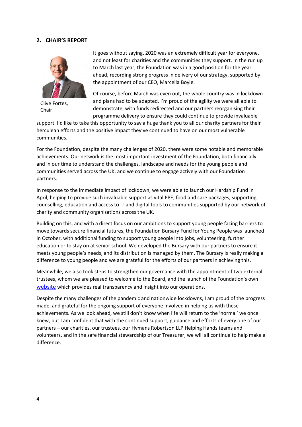#### **2. CHAIR'S REPORT**



Clive Fortes, Chair

It goes without saying, 2020 was an extremely difficult year for everyone, and not least for charities and the communities they support. In the run up to March last year, the Foundation was in a good position for the year ahead, recording strong progress in delivery of our strategy, supported by the appointment of our CEO, Marcella Boyle.

Of course, before March was even out, the whole country was in lockdown and plans had to be adapted. I'm proud of the agility we were all able to demonstrate, with funds redirected and our partners reorganising their programme delivery to ensure they could continue to provide invaluable

support. I'd like to take this opportunity to say a huge thank you to all our charity partners for their herculean efforts and the positive impact they've continued to have on our most vulnerable communities.

For the Foundation, despite the many challenges of 2020, there were some notable and memorable achievements. Our network is the most important investment of the Foundation, both financially and in our time to understand the challenges, landscape and needs for the young people and communities served across the UK, and we continue to engage actively with our Foundation partners.

In response to the immediate impact of lockdown, we were able to launch our Hardship Fund in April, helping to provide such invaluable support as vital PPE, food and care packages, supporting counselling, education and access to IT and digital tools to communities supported by our network of charity and community organisations across the UK.

Building on this, and with a direct focus on our ambitions to support young people facing barriers to move towards secure financial futures, the Foundation Bursary Fund for Young People was launched in October, with additional funding to support young people into jobs, volunteering, further education or to stay on at senior school. We developed the Bursary with our partners to ensure it meets young people's needs, and its distribution is managed by them. The Bursary is really making a difference to young people and we are grateful for the efforts of our partners in achieving this.

Meanwhile, we also took steps to strengthen our governance with the appointment of two external trustees, whom we are pleased to welcome to the Board, and the launch of the Foundation's own [website](https://hymansrobertsonfoundation.org/) which provides real transparency and insight into our operations.

Despite the many challenges of the pandemic and nationwide lockdowns, I am proud of the progress made, and grateful for the ongoing support of everyone involved in helping us with these achievements. As we look ahead, we still don't know when life will return to the 'normal' we once knew, but I am confident that with the continued support, guidance and efforts of every one of our partners – our charities, our trustees, our Hymans Robertson LLP Helping Hands teams and volunteers, and in the safe financial stewardship of our Treasurer, we will all continue to help make a difference.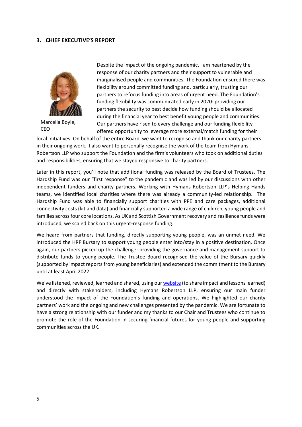

Marcella Boyle, CEO

Despite the impact of the ongoing pandemic, I am heartened by the response of our charity partners and their support to vulnerable and marginalised people and communities. The Foundation ensured there was flexibility around committed funding and, particularly, trusting our partners to refocus funding into areas of urgent need. The Foundation's funding flexibility was communicated early in 2020: providing our partners the security to best decide how funding should be allocated during the financial year to best benefit young people and communities. Our partners have risen to every challenge and our funding flexibility offered opportunity to leverage more external/match funding for their

local initiatives. On behalf of the entire Board, we want to recognise and thank our charity partners in their ongoing work. I also want to personally recognise the work of the team from Hymans Robertson LLP who support the Foundation and the firm's volunteers who took on additional duties and responsibilities, ensuring that we stayed responsive to charity partners.

Later in this report, you'll note that additional funding was released by the Board of Trustees. The Hardship Fund was our "first response" to the pandemic and was led by our discussions with other independent funders and charity partners. Working with Hymans Robertson LLP's Helping Hands teams, we identified local charities where there was already a community-led relationship. The Hardship Fund was able to financially support charities with PPE and care packages, additional connectivity costs (kit and data) and financially supported a wide range of children, young people and families across four core locations. As UK and Scottish Government recovery and resilience funds were introduced, we scaled back on this urgent-response funding.

We heard from partners that funding, directly supporting young people, was an unmet need. We introduced the HRF Bursary to support young people enter into/stay in a positive destination. Once again, our partners picked up the challenge: providing the governance and management support to distribute funds to young people. The Trustee Board recognised the value of the Bursary quickly (supported by impact reports from young beneficiaries) and extended the commitment to the Bursary until at least April 2022.

We've listened, reviewed, learned and shared, using ou[r website](https://hymansrobertsonfoundation.org/) (to share impact and lessons learned) and directly with stakeholders, including Hymans Robertson LLP, ensuring our main funder understood the impact of the Foundation's funding and operations. We highlighted our charity partners' work and the ongoing and new challenges presented by the pandemic. We are fortunate to have a strong relationship with our funder and my thanks to our Chair and Trustees who continue to promote the role of the Foundation in securing financial futures for young people and supporting communities across the UK.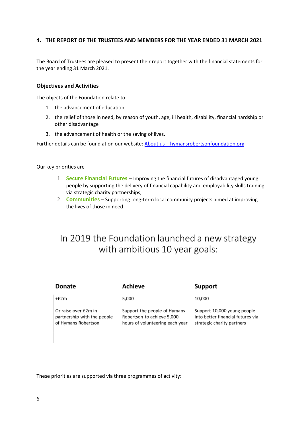#### **4. THE REPORT OF THE TRUSTEES AND MEMBERS FOR THE YEAR ENDED 31 MARCH 2021**

The Board of Trustees are pleased to present their report together with the financial statements for the year ending 31 March 2021.

#### **Objectives and Activities**

The objects of the Foundation relate to:

- 1. the advancement of education
- 2. the relief of those in need, by reason of youth, age, ill health, disability, financial hardship or other disadvantage
- 3. the advancement of health or the saving of lives.

Further details can be found at on our website: About us – [hymansrobertsonfoundation.org](https://hymansrobertsonfoundation.org/about-us/)

Our key priorities are

- 1. **Secure [Financial](http://hymansrobertsonfoundationorg.azurewebsites.net/funding/) Futures** Improving the financial futures of disadvantaged young people by supporting the delivery of financial capability and employability skills training via strategic charity partnerships,
- 2. **[Communities](http://hymansrobertsonfoundationorg.azurewebsites.net/volunteering/)** Supporting long-term local community projects aimed at improving the lives of those in need.

### In 2019 the Foundation launched a new strategy with ambitious 10 year goals:

| Donate                                                                     | Achieve                                                                                       | Support                                                                                        |
|----------------------------------------------------------------------------|-----------------------------------------------------------------------------------------------|------------------------------------------------------------------------------------------------|
| $+E2m$                                                                     | 5,000                                                                                         | 10,000                                                                                         |
| Or raise over £2m in<br>partnership with the people<br>of Hymans Robertson | Support the people of Hymans<br>Robertson to achieve 5,000<br>hours of volunteering each year | Support 10,000 young people<br>into better financial futures via<br>strategic charity partners |

These priorities are supported via three programmes of activity: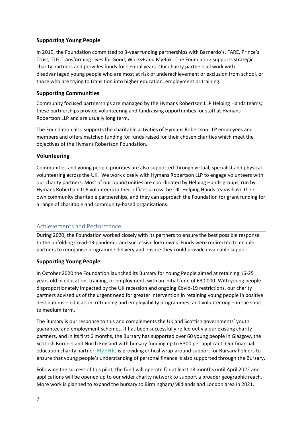#### **Supporting Young People**

In 2019, the Foundation committed to 3-year funding partnerships with Barnardo's, FARE, Prince's Trust, TLG Transforming Lives for Good, Works+ and MyBnk. The Foundation supports strategic charity partners and provides funds for several years. Our charity partners all work with disadvantaged young people who are most at risk of underachievement or exclusion from school, or those who are trying to transition into higher education, employment or training.

#### **Supporting Communities**

Community focused partnerships are managed by the Hymans Robertson LLP Helping Hands teams; these partnerships provide volunteering and fundraising opportunities for staff at Hymans Robertson LLP and are usually long term.

The Foundation also supports the charitable activities of Hymans Robertson LLP employees and members and offers matched funding for funds raised for their chosen charities which meet the objectives of the Hymans Robertson Foundation.

#### **Volunteering**

Communities and young people priorities are also supported through virtual, specialist and physical volunteering across the UK. We work closely with Hymans Robertson LLP to engage volunteers with our charity partners. Most of our opportunities are coordinated by Helping Hands groups, run by Hymans Robertson LLP volunteers in their offices across the UK. Helping Hands teams have their own community charitable partnerships, and they can approach the Foundation for grant funding for a range of charitable and community-based organisations.

#### Achievements and Performance

During 2020, the Foundation worked closely with its partners to ensure the best possible response to the unfolding Covid-19 pandemic and successive lockdowns. Funds were redirected to enable partners to reorganise programme delivery and ensure they could provide invaluable support.

#### **Supporting Young People**

In October 2020 the Foundation launched its Bursary for Young People aimed at retaining 16-25 years old in education, training, or employment, with an initial fund of £30,000. With young people disproportionately impacted by the UK recession and ongoing Covid-19 restrictions, our charity partners advised us of the urgent need for greater intervention in retaining young people in positive destinations – education, retraining and employability programmes, and volunteering – in the short to medium term.

The Bursary is our response to this and complements the UK and Scottish governments' youth guarantee and employment schemes. It has been successfully rolled out via our existing charity partners, and in its first 6 months, the Bursary has supported over 60 young people in Glasgow, the Scottish Borders and North England with bursary funding up to £300 per applicant. Our financial education charity partner,  $MyBNK$ , is providing critical wrap-around support for Bursary holders to ensure that young people's understanding of personal finance is also supported through the Bursary.

Following the success of this pilot, the fund will operate for at least 18 months until April 2022 and applications will be opened up to our wider charity network to support a broader geographic reach. More work is planned to expand the bursary to Birmingham/Midlands and London area in 2021.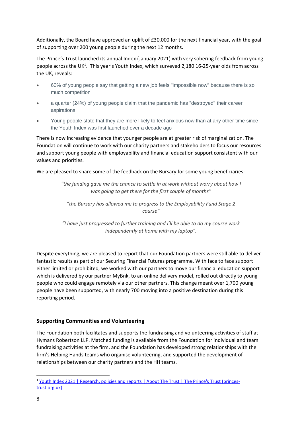Additionally, the Board have approved an uplift of £30,000 for the next financial year, with the goal of supporting over 200 young people during the next 12 months.

The Prince's Trust launched its annual Index (January 2021) with very sobering feedback from young people across the UK<sup>1</sup>. This year's Youth Index, which surveyed 2,180 16-25-year olds from across the UK, reveals:

- 60% of young people say that getting a new job feels "impossible now" because there is so much competition
- a quarter (24%) of young people claim that the pandemic has "destroyed" their career aspirations
- Young people state that they are more likely to feel anxious now than at any other time since the Youth Index was first launched over a decade ago

There is now increasing evidence that younger people are at greater risk of marginalization. The Foundation will continue to work with our charity partners and stakeholders to focus our resources and support young people with employability and financial education support consistent with our values and priorities.

We are pleased to share some of the feedback on the Bursary for some young beneficiaries:

*"the funding gave me the chance to settle in at work without worry about how I was going to get there for the first couple of months"*

*"the Bursary has allowed me to progress to the Employability Fund Stage 2 course"*

*"I have just progressed to further training and I'll be able to do my course work independently at home with my laptop".*

Despite everything, we are pleased to report that our Foundation partners were still able to deliver fantastic results as part of our Securing Financial Futures programme. With face to face support either limited or prohibited, we worked with our partners to move our financial education support which is delivered by our partner MyBnk, to an online delivery model, rolled out directly to young people who could engage remotely via our other partners. This change meant over 1,700 young people have been supported, with nearly 700 moving into a positive destination during this reporting period.

#### **Supporting Communities and Volunteering**

The Foundation both facilitates and supports the fundraising and volunteering activities of staff at Hymans Robertson LLP. Matched funding is available from the Foundation for individual and team fundraising activities at the firm, and the Foundation has developed strong relationships with the firm's Helping Hands teams who organise volunteering, and supported the development of relationships between our charity partners and the HH teams.

<sup>&</sup>lt;sup>1</sup> [Youth Index 2021 | Research, policies and reports](https://www.princes-trust.org.uk/cs/Satellite?c=Page&childpagename=PrincesTrust/PTLayout&cid=1430865892478&packedargs=WEBROOTNAME=Relative&pagename=PTWrapper&rendermode=preview?training+guides) | About The Trust | The Prince's Trust (princes[trust.org.uk\)](https://www.princes-trust.org.uk/cs/Satellite?c=Page&childpagename=PrincesTrust/PTLayout&cid=1430865892478&packedargs=WEBROOTNAME=Relative&pagename=PTWrapper&rendermode=preview?training+guides)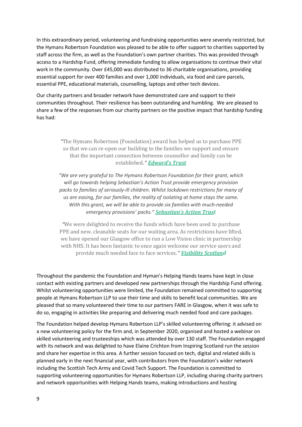In this extraordinary period, volunteering and fundraising opportunities were severely restricted, but the Hymans Robertson Foundation was pleased to be able to offer support to charities supported by staff across the firm, as well as the Foundation's own partner charities. This was provided through access to a Hardship Fund, offering immediate funding to allow organisations to continue their vital work in the community. Over £45,000 was distributed to 36 charitable organisations, providing essential support for over 400 families and over 1,000 individuals, via food and care parcels, essential PPE, educational materials, counselling, laptops and other tech devices.

Our charity partners and broader network have demonstrated care and support to their communities throughout. Their resilience has been outstanding and humbling. We are pleased to share a few of the responses from our charity partners on the positive impact that hardship funding has had:

> *"*The Hymans Robertson (Foundation) award has helped us to purchase PPE so that we can re-open our building to the families we support and ensure that the important connection between counsellor and family can be established*." [Edward's](https://edwardstrust.org.uk/) Trust*

> *"We are very grateful to The Hymans Robertson Foundation for their grant, which will go towards helping Sebastian's Action Trust provide emergency provision packs to families of seriously-ill children. Whilst lockdown restrictions for many of us are easing, for our families, the reality of isolating at home stays the same. With this grant, we will be able to provide six families with much-needed emergency provisions' packs." [Sebastian's](https://sebastiansactiontrust.org/) Action Tru[st](https://sebastiansactiontrust.org/)*

> *"*We were delighted to receive the funds which have been used to purchase PPE and new, cleanable seats for our waiting area. As restrictions have lifted, we have opened our Glasgow office to run a Low Vision clinic in partnership with NHS. It has been fantastic to once again welcome our service users and provide much needed face to face services*." [Visibility](https://visibilityscotland.org.uk/) Scotla[nd](https://visibilityscotland.org.uk/)*

Throughout the pandemic the Foundation and Hyman's Helping Hands teams have kept in close contact with existing partners and developed new partnerships through the Hardship Fund offering. Whilst volunteering opportunities were limited, the Foundation remained committed to supporting people at Hymans Robertson LLP to use their time and skills to benefit local communities. We are pleased that so many volunteered their time to our partners FARE in Glasgow, when it was safe to do so, engaging in activities like preparing and delivering much needed food and care packages.

The Foundation helped develop Hymans Robertson LLP's skilled volunteering offering: it advised on a new volunteering policy for the firm and, in September 2020, organised and hosted a webinar on skilled volunteering and trusteeships which was attended by over 130 staff. The Foundation engaged with its network and was delighted to have Elaine Crichton from Inspiring Scotland run the session and share her expertise in this area. A further session focused on tech, digital and related skills is planned early in the next financial year, with contributors from the Foundation's wider network including the Scottish Tech Army and Covid Tech Support. The Foundation is committed to supporting volunteering opportunities for Hymans Robertson LLP, including sharing charity partners and network opportunities with Helping Hands teams, making introductions and hosting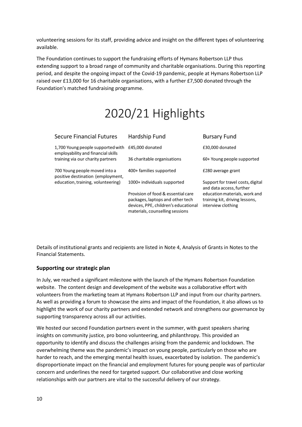volunteering sessions for its staff, providing advice and insight on the different types of volunteering available.

The Foundation continues to support the fundraising efforts of Hymans Robertson LLP thus extending support to a broad range of community and charitable organisations. During this reporting period, and despite the ongoing impact of the Covid-19 pandemic, people at Hymans Robertson LLP raised over £13,000 for 16 charitable organisations, with a further £7,500 donated through the Foundation's matched fundraising programme.

# 2020/21 Highlights

| <b>Secure Financial Futures</b>                                         | Hardship Fund                                                                                                                                     | <b>Bursary Fund</b>                                                                   |
|-------------------------------------------------------------------------|---------------------------------------------------------------------------------------------------------------------------------------------------|---------------------------------------------------------------------------------------|
| 1,700 Young people supported with<br>employability and financial skills | £45,000 donated                                                                                                                                   | £30,000 donated                                                                       |
| training via our charity partners                                       | 36 charitable organisations                                                                                                                       | 60+ Young people supported                                                            |
| 700 Young people moved into a<br>positive destination (employment,      | 400+ families supported                                                                                                                           | £280 average grant                                                                    |
| education, training, volunteering)                                      | 1000+ individuals supported                                                                                                                       | Support for travel costs, digital<br>and data access, further                         |
|                                                                         | Provision of food & essential care<br>packages, laptops and other tech<br>devices, PPE, children's educational<br>materials, counselling sessions | education materials, work and<br>training kit, driving lessons,<br>interview clothing |

Details of institutional grants and recipients are listed in Note 4, Analysis of Grants in Notes to the Financial Statements.

#### **Supporting our strategic plan**

In July, we reached a significant milestone with the launch of the [Hymans Robertson Foundation](https://hymansrobertsonfoundation.org/) website. The content design and development of the website was a collaborative effort with volunteers from the marketing team at Hymans Robertson LLP and input from our charity partners. As well as providing a forum to showcase the aims and impact of the Foundation, it also allows us to highlight the work of our charity partners and extended network and strengthens our governance by supporting transparency across all our activities.

We hosted our second Foundation partners event in the summer, with guest speakers sharing insights on community justice, pro bono volunteering, and philanthropy. This provided an opportunity to identify and discuss the challenges arising from the pandemic and lockdown. The overwhelming theme was the pandemic's impact on young people, particularly on those who are harder to reach, and the emerging mental health issues, exacerbated by isolation. The pandemic's disproportionate impact on the financial and employment futures for young people was of particular concern and underlines the need for targeted support. Our collaborative and close working relationships with our partners are vital to the successful delivery of our strategy.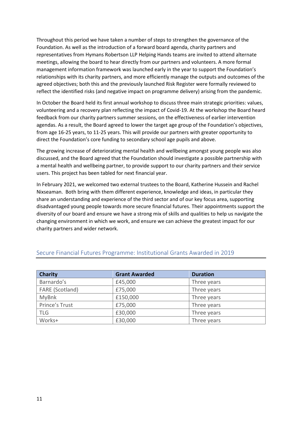Throughout this period we have taken a number of steps to strengthen the governance of the Foundation. As well as the introduction of a forward board agenda, charity partners and representatives from Hymans Robertson LLP Helping Hands teams are invited to attend alternate meetings, allowing the board to hear directly from our partners and volunteers. A more formal management information framework was launched early in the year to support the Foundation's relationships with its charity partners, and more efficiently manage the outputs and outcomes of the agreed objectives; both this and the previously launched Risk Register were formally reviewed to reflect the identified risks (and negative impact on programme delivery) arising from the pandemic.

In October the Board held its first annual workshop to discuss three main strategic priorities: values, volunteering and a recovery plan reflecting the impact of Covid-19. At the workshop the Board heard feedback from our charity partners summer sessions, on the effectiveness of earlier intervention agendas. As a result, the Board agreed to lower the target age group of the Foundation's objectives, from age 16-25 years, to 11-25 years. This will provide our partners with greater opportunity to direct the Foundation's core funding to secondary school age pupils and above.

The growing increase of deteriorating mental health and wellbeing amongst young people was also discussed, and the Board agreed that the Foundation should investigate a possible partnership with a mental health and wellbeing partner, to provide support to our charity partners and their service users. This project has been tabled for next financial year.

In February 2021, we welcomed two external trustees to the Board, Katherine Hussein and Rachel Nixseaman. Both bring with them different experience, knowledge and ideas, in particular they share an understanding and experience of the third sector and of our key focus area, supporting disadvantaged young people towards more secure financial futures. Their appointments support the diversity of our board and ensure we have a strong mix of skills and qualities to help us navigate the changing environment in which we work, and ensure we can achieve the greatest impact for our charity partners and wider network.

| <b>Charity</b>  | <b>Grant Awarded</b> | <b>Duration</b> |
|-----------------|----------------------|-----------------|
| Barnardo's      | £45,000              | Three years     |
| FARE (Scotland) | £75,000              | Three years     |
| <b>MyBnk</b>    | £150,000             | Three years     |
| Prince's Trust  | £75,000              | Three years     |
| <b>TLG</b>      | £30,000              | Three years     |
| Works+          | £30,000              | Three years     |

#### Secure Financial Futures Programme: Institutional Grants Awarded in 2019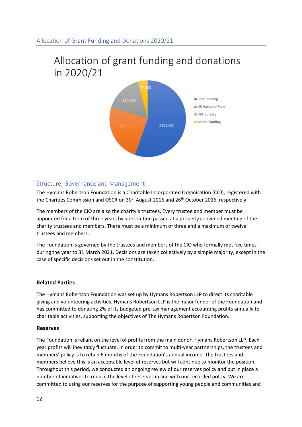## Allocation of grant funding and donations in 2020/21



#### Structure, Governance and Management

The Hymans Robertson Foundation is a Charitable Incorporated Organisation (CIO), registered with the Charities Commission and OSCR on 30<sup>th</sup> August 2016 and 26<sup>th</sup> October 2016, respectively.

The members of the CIO are also the charity's trustees. Every trustee and member must be appointed for a term of three years by a resolution passed at a properly convened meeting of the charity trustees and members. There must be a minimum of three and a maximum of twelve trustees and members.

The Foundation is governed by the trustees and members of the CIO who formally met five times during the year to 31 March 2021. Decisions are taken collectively by a simple majority, except in the case of specific decisions set out in the constitution.

#### **Related Parties**

The Hymans Robertson Foundation was set up by Hymans Robertson LLP to direct its charitable giving and volunteering activities. Hymans Robertson LLP is the major funder of the Foundation and has committed to donating 2% of its budgeted pre-tax management accounting profits annually to charitable activities, supporting the objectives of The Hymans Robertson Foundation.

#### **Reserves**

The Foundation is reliant on the level of profits from the main donor, Hymans Robertson LLP. Each year profits will inevitably fluctuate. In order to commit to multi-year partnerships, the trustees and members' policy is to retain 6 months of the Foundation's annual income. The trustees and members believe this is an acceptable level of reserves but will continue to monitor the position. Throughout this period, we conducted an ongoing review of our reserves policy and put in place a number of initiatives to reduce the level of reserves in line with our recorded policy. We are committed to using our reserves for the purpose of supporting young people and communities and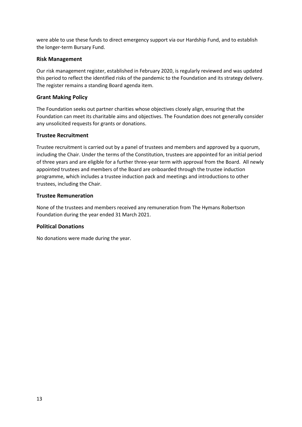were able to use these funds to direct emergency support via our Hardship Fund, and to establish the longer-term Bursary Fund.

#### **Risk Management**

Our risk management register, established in February 2020, is regularly reviewed and was updated this period to reflect the identified risks of the pandemic to the Foundation and its strategy delivery. The register remains a standing Board agenda item.

#### **Grant Making Policy**

The Foundation seeks out partner charities whose objectives closely align, ensuring that the Foundation can meet its charitable aims and objectives. The Foundation does not generally consider any unsolicited requests for grants or donations.

#### **Trustee Recruitment**

Trustee recruitment is carried out by a panel of trustees and members and approved by a quorum, including the Chair. Under the terms of the Constitution, trustees are appointed for an initial period of three years and are eligible for a further three-year term with approval from the Board. All newly appointed trustees and members of the Board are onboarded through the trustee induction programme, which includes a trustee induction pack and meetings and introductions to other trustees, including the Chair.

#### **Trustee Remuneration**

None of the trustees and members received any remuneration from The Hymans Robertson Foundation during the year ended 31 March 2021.

#### **Political Donations**

No donations were made during the year.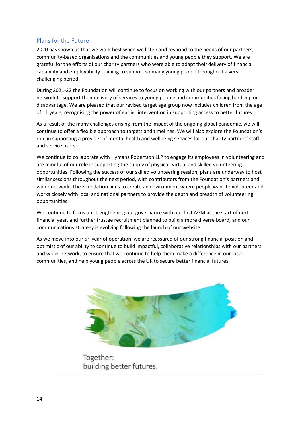#### Plans for the Future

2020 has shown us that we work best when we listen and respond to the needs of our partners, community-based organisations and the communities and young people they support. We are grateful for the efforts of our charity partners who were able to adapt their delivery of financial capability and employability training to support so many young people throughout a very challenging period.

During 2021-22 the Foundation will continue to focus on working with our partners and broader network to support their delivery of services to young people and communities facing hardship or disadvantage. We are pleased that our revised target age group now includes children from the age of 11 years, recognising the power of earlier intervention in supporting access to better futures.

As a result of the many challenges arising from the impact of the ongoing global pandemic, we will continue to offer a flexible approach to targets and timelines. We will also explore the Foundation's role in supporting a provider of mental health and wellbeing services for our charity partners' staff and service users.

We continue to collaborate with Hymans Robertson LLP to engage its employees in volunteering and are mindful of our role in supporting the supply of physical, virtual and skilled volunteering opportunities. Following the success of our skilled volunteering session, plans are underway to host similar sessions throughout the next period, with contributors from the Foundation's partners and wider network. The Foundation aims to create an environment where people want to volunteer and works closely with local and national partners to provide the depth and breadth of volunteering opportunities.

We continue to focus on strengthening our governance with our first AGM at the start of next financial year, and further trustee recruitment planned to build a more diverse board, and our communications strategy is evolving following the launch of our website.

As we move into our 5<sup>th</sup> year of operation, we are reassured of our strong financial position and optimistic of our ability to continue to build impactful, collaborative relationships with our partners and wider network, to ensure that we continue to help them make a difference in our local communities, and help young people across the UK to secure better financial futures.



Together: building better futures.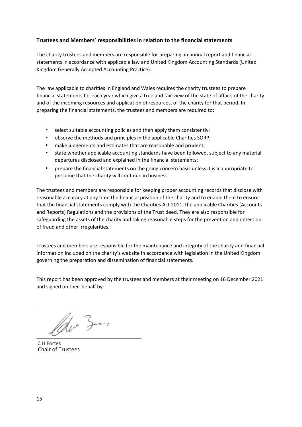#### **Trustees and Members' responsibilities in relation to the financial statements**

The charity trustees and members are responsible for preparing an annual report and financial statements in accordance with applicable law and United Kingdom Accounting Standards (United Kingdom Generally Accepted Accounting Practice).

The law applicable to charities in England and Wales requires the charity trustees to prepare financial statements for each year which give a true and fair view of the state of affairs of the charity and of the incoming resources and application of resources, of the charity for that period. In preparing the financial statements, the trustees and members are required to:

- select suitable accounting policies and then apply them consistently;
- observe the methods and principles in the applicable Charities SORP;
- make judgements and estimates that are reasonable and prudent;
- state whether applicable accounting standards have been followed, subject to any material departures disclosed and explained in the financial statements;
- prepare the financial statements on the going concern basis unless it is inappropriate to presume that the charity will continue in business.

The trustees and members are responsible for keeping proper accounting records that disclose with reasonable accuracy at any time the financial position of the charity and to enable them to ensure that the financial statements comply with the Charities Act 2011, the applicable Charities (Accounts and Reports) Regulations and the provisions of the Trust deed. They are also responsible for safeguarding the assets of the charity and taking reasonable steps for the prevention and detection of fraud and other irregularities.

Trustees and members are responsible for the maintenance and integrity of the charity and financial information included on the charity's website in accordance with legislation in the United Kingdom governing the preparation and dissemination of financial statements.

This report has been approved by the trustees and members at their meeting on 16 December 2021 and signed on their behalf by:

Police Zum

Chair of Trustees C H Fortes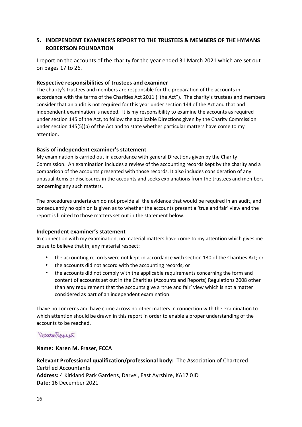#### **5. INDEPENDENT EXAMINER'S REPORT TO THE TRUSTEES & MEMBERS OF THE HYMANS ROBERTSON FOUNDATION**

I report on the accounts of the charity for the year ended 31 March 2021 which are set out on pages 17 to 26.

#### **Respective responsibilities of trustees and examiner**

The charity's trustees and members are responsible for the preparation of the accounts in accordance with the terms of the Charities Act 2011 ("the Act"). The charity's trustees and members consider that an audit is not required for this year under section 144 of the Act and that and independent examination is needed. It is my responsibility to examine the accounts as required under section 145 of the Act, to follow the applicable Directions given by the Charity Commission under section 145(5)(b) of the Act and to state whether particular matters have come to my attention.

#### **Basis of independent examiner's statement**

My examination is carried out in accordance with general Directions given by the Charity Commission. An examination includes a review of the accounting records kept by the charity and a comparison of the accounts presented with those records. It also includes consideration of any unusual items or disclosures in the accounts and seeks explanations from the trustees and members concerning any such matters.

The procedures undertaken do not provide all the evidence that would be required in an audit, and consequently no opinion is given as to whether the accounts present a 'true and fair' view and the report is limited to those matters set out in the statement below.

#### **Independent examiner's statement**

In connection with my examination, no material matters have come to my attention which gives me cause to believe that in, any material respect:

- the accounting records were not kept in accordance with section 130 of the Charities Act; or
- the accounts did not accord with the accounting records; or
- the accounts did not comply with the applicable requirements concerning the form and content of accounts set out in the Charities (Accounts and Reports) Regulations 2008 other than any requirement that the accounts give a 'true and fair' view which is not a matter considered as part of an independent examination.

I have no concerns and have come across no other matters in connection with the examination to which attention should be drawn in this report in order to enable a proper understanding of the accounts to be reached.

#### DuranTinue

#### **Name: Karen M. Fraser, FCCA**

**Relevant Professional qualification/professional body:** The Association of Chartered Certified Accountants **Address:** 4 Kirkland Park Gardens, Darvel, East Ayrshire, KA17 0JD **Date:** 16 December 2021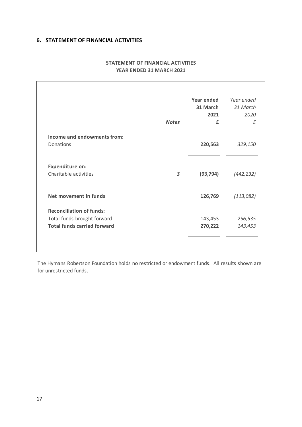#### **6. STATEMENT OF FINANCIAL ACTIVITIES**

|                                    | <b>Notes</b> | Year ended<br>31 March<br>2021<br>£ | Year ended<br>31 March<br>2020<br>f |
|------------------------------------|--------------|-------------------------------------|-------------------------------------|
| Income and endowments from:        |              |                                     |                                     |
| Donations                          |              | 220,563                             | 329,150                             |
| <b>Expenditure on:</b>             |              |                                     |                                     |
| Charitable activities              | 3            | (93, 794)                           | (442, 232)                          |
| Net movement in funds              |              | 126,769                             | (113,082)                           |
| <b>Reconciliation of funds:</b>    |              |                                     |                                     |
| Total funds brought forward        |              | 143,453                             | 256,535                             |
| <b>Total funds carried forward</b> |              | 270,222                             | 143,453                             |

#### **STATEMENT OF FINANCIAL ACTIVITIES YEAR ENDED 31 MARCH 2021**

The Hymans Robertson Foundation holds no restricted or endowment funds. All results shown are for unrestricted funds.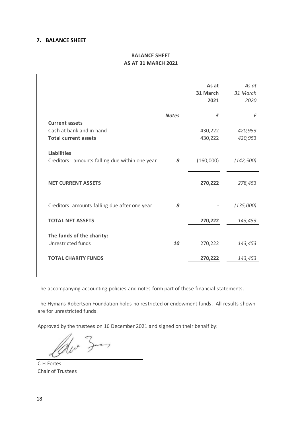#### **7. BALANCE SHEET**

#### **BALANCE SHEET AS AT 31 MARCH 2021**

|                                                                      |              | As at<br>31 March<br>2021 | As at<br>31 March<br>2020 |
|----------------------------------------------------------------------|--------------|---------------------------|---------------------------|
|                                                                      | <b>Notes</b> | £                         | f                         |
| <b>Current assets</b>                                                |              |                           |                           |
| Cash at bank and in hand                                             |              | 430,222                   | 420,953                   |
| <b>Total current assets</b>                                          |              | 430,222                   | 420,953                   |
| <b>Liabilities</b><br>Creditors: amounts falling due within one year | 8            | (160,000)                 | (142, 500)                |
| <b>NET CURRENT ASSETS</b>                                            |              | 270,222                   | 278,453                   |
| Creditors: amounts falling due after one year                        | 8            |                           | (135,000)                 |
| <b>TOTAL NET ASSETS</b>                                              |              | 270,222                   | 143,453                   |
| The funds of the charity:<br>Unrestricted funds                      | 10           | 270,222                   | 143,453                   |
| <b>TOTAL CHARITY FUNDS</b>                                           |              | 270,222                   | 143,453                   |
|                                                                      |              |                           |                           |

The accompanying accounting policies and notes form part of these financial statements.

The Hymans Robertson Foundation holds no restricted or endowment funds. All results shown are for unrestricted funds.

Approved by the trustees on 16 December 2021 and signed on their behalf by:

Ho Zun

C H Fortes Chair of Trustees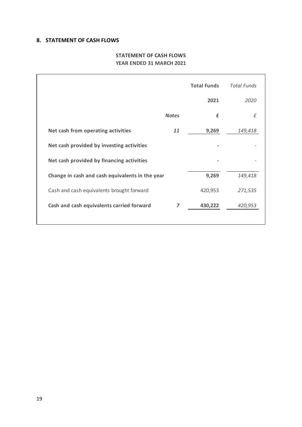#### **8. STATEMENT OF CASH FLOWS**

#### **STATEMENT OF CASH FLOWS YEAR ENDED 31 MARCH 2021**

|                                                 | <b>Total Funds</b> | <b>Total Funds</b> |
|-------------------------------------------------|--------------------|--------------------|
|                                                 | 2021               | 2020               |
| <b>Notes</b>                                    | £                  | £                  |
| Net cash from operating activities<br>11        | 9,269              | 149,418            |
| Net cash provided by investing activities       |                    |                    |
| Net cash provided by financing activities       |                    |                    |
| Change in cash and cash equivalents in the year | 9,269              | 149,418            |
| Cash and cash equivalents brought forward       | 420,953            | 271,535            |
| Cash and cash equivalents carried forward<br>7  | 430,222            | 420,953            |
|                                                 |                    |                    |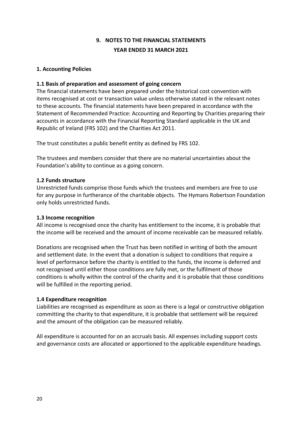#### **1. Accounting Policies**

#### **1.1 Basis of preparation and assessment of going concern**

The financial statements have been prepared under the historical cost convention with items recognised at cost or transaction value unless otherwise stated in the relevant notes to these accounts. The financial statements have been prepared in accordance with the Statement of Recommended Practice: Accounting and Reporting by Charities preparing their accounts in accordance with the Financial Reporting Standard applicable in the UK and Republic of Ireland (FRS 102) and the Charities Act 2011.

The trust constitutes a public benefit entity as defined by FRS 102.

The trustees and members consider that there are no material uncertainties about the Foundation's ability to continue as a going concern.

#### **1.2 Funds structure**

Unrestricted funds comprise those funds which the trustees and members are free to use for any purpose in furtherance of the charitable objects. The Hymans Robertson Foundation only holds unrestricted funds.

#### **1.3 Income recognition**

All income is recognised once the charity has entitlement to the income, it is probable that the income will be received and the amount of income receivable can be measured reliably.

Donations are recognised when the Trust has been notified in writing of both the amount and settlement date. In the event that a donation is subject to conditions that require a level of performance before the charity is entitled to the funds, the income is deferred and not recognised until either those conditions are fully met, or the fulfilment of those conditions is wholly within the control of the charity and it is probable that those conditions will be fulfilled in the reporting period.

#### **1.4 Expenditure recognition**

Liabilities are recognised as expenditure as soon as there is a legal or constructive obligation committing the charity to that expenditure, it is probable that settlement will be required and the amount of the obligation can be measured reliably.

All expenditure is accounted for on an accruals basis. All expenses including support costs and governance costs are allocated or apportioned to the applicable expenditure headings.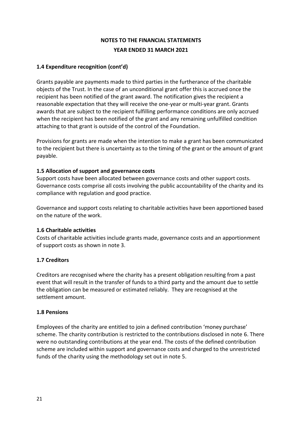#### **1.4 Expenditure recognition (cont'd)**

Grants payable are payments made to third parties in the furtherance of the charitable objects of the Trust. In the case of an unconditional grant offer this is accrued once the recipient has been notified of the grant award. The notification gives the recipient a reasonable expectation that they will receive the one-year or multi-year grant. Grants awards that are subject to the recipient fulfilling performance conditions are only accrued when the recipient has been notified of the grant and any remaining unfulfilled condition attaching to that grant is outside of the control of the Foundation.

Provisions for grants are made when the intention to make a grant has been communicated to the recipient but there is uncertainty as to the timing of the grant or the amount of grant payable.

#### **1.5 Allocation of support and governance costs**

Support costs have been allocated between governance costs and other support costs. Governance costs comprise all costs involving the public accountability of the charity and its compliance with regulation and good practice.

Governance and support costs relating to charitable activities have been apportioned based on the nature of the work.

#### **1.6 Charitable activities**

Costs of charitable activities include grants made, governance costs and an apportionment of support costs as shown in note 3.

#### **1.7 Creditors**

Creditors are recognised where the charity has a present obligation resulting from a past event that will result in the transfer of funds to a third party and the amount due to settle the obligation can be measured or estimated reliably. They are recognised at the settlement amount.

#### **1.8 Pensions**

Employees of the charity are entitled to join a defined contribution 'money purchase' scheme. The charity contribution is restricted to the contributions disclosed in note 6. There were no outstanding contributions at the year end. The costs of the defined contribution scheme are included within support and governance costs and charged to the unrestricted funds of the charity using the methodology set out in note 5.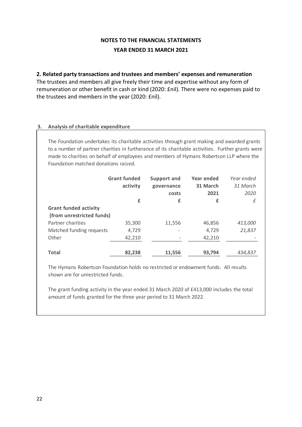#### **2. Related party transactions and trustees and members' expenses and remuneration**

The trustees and members all give freely their time and expertise without any form of remuneration or other benefit in cash or kind (2020: £nil). There were no expenses paid to the trustees and members in the year (2020: £nil).

#### **3. Analysis of charitable expenditure**

The Foundation undertakes its charitable activities through grant making and awarded grants to a number of partner charities in furtherance of its charitable activities. Further grants were made to charities on behalf of employees and members of Hymans Robertson LLP where the Foundation matched donations raised.

|                                                           | <b>Grant funded</b><br>activity | <b>Support and</b><br>governance<br>costs | Year ended<br>31 March<br>2021 | Year ended<br>31 March<br>2020 |
|-----------------------------------------------------------|---------------------------------|-------------------------------------------|--------------------------------|--------------------------------|
|                                                           | £                               | £                                         | £                              | £                              |
| <b>Grant funded activity</b><br>(from unrestricted funds) |                                 |                                           |                                |                                |
| Partner charities                                         | 35,300                          | 11,556                                    | 46,856                         | 413,000                        |
| Matched funding requests                                  | 4,729                           |                                           | 4,729                          | 21,837                         |
| Other                                                     | 42,210                          |                                           | 42,210                         |                                |
| <b>Total</b>                                              | 82,238                          | 11,556                                    | 93,794                         | 434,837                        |

The Hymans Robertson Foundation holds no restricted or endowment funds. All results shown are for unrestricted funds.

The grant funding activity in the year ended 31 March 2020 of £413,000 includes the total amount of funds granted for the three year period to 31 March 2022.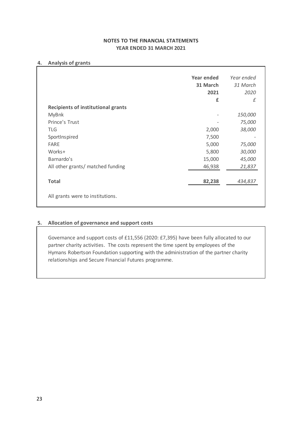#### **4. Analysis of grants**

|                                           | <b>Year ended</b> | Year ended |
|-------------------------------------------|-------------------|------------|
|                                           | 31 March          | 31 March   |
|                                           | 2021              | 2020       |
|                                           | £                 | f          |
| <b>Recipients of institutional grants</b> |                   |            |
| <b>MyBnk</b>                              |                   | 150,000    |
| Prince's Trust                            |                   | 75,000     |
| <b>TLG</b>                                | 2,000             | 38,000     |
| SportInspired                             | 7,500             |            |
| FARE                                      | 5,000             | 75,000     |
| Works+                                    | 5,800             | 30,000     |
| Barnardo's                                | 15,000            | 45,000     |
| All other grants/ matched funding         | 46,938            | 21,837     |
| <b>Total</b>                              | 82,238            | 434,837    |

#### **5. Allocation of governance and support costs**

Governance and support costs of £11,556 (2020: £7,395) have been fully allocated to our partner charity activities. The costs represent the time spent by employees of the Hymans Robertson Foundation supporting with the administration of the partner charity relationships and Secure Financial Futures programme.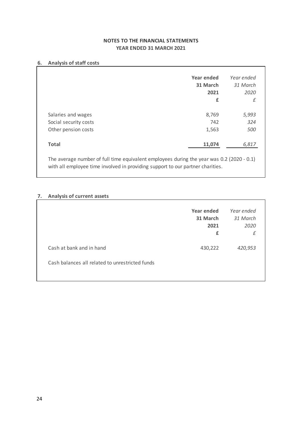#### **6. Analysis of staff costs**

|                       | Year ended | Year ended |
|-----------------------|------------|------------|
|                       |            |            |
|                       | 31 March   | 31 March   |
|                       | 2021       | 2020       |
|                       | £          | £          |
| Salaries and wages    | 8,769      | 5,993      |
| Social security costs | 742        | 324        |
| Other pension costs   | 1,563      | 500        |
| <b>Total</b>          | 11,074     | 6,817      |

#### **7. Analysis of current assets**

|                                                 | Year ended<br>31 March<br>2021<br>£ | Year ended<br>31 March<br>2020<br>£ |
|-------------------------------------------------|-------------------------------------|-------------------------------------|
| Cash at bank and in hand                        | 430,222                             | 420,953                             |
| Cash balances all related to unrestricted funds |                                     |                                     |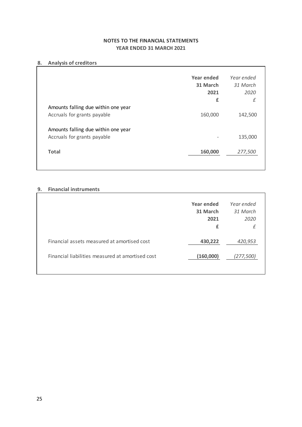#### 8. Analysis of creditors

| 8. | <b>Analysis of creditors</b>                     |            |            |  |
|----|--------------------------------------------------|------------|------------|--|
|    |                                                  |            |            |  |
|    |                                                  | Year ended | Year ended |  |
|    |                                                  | 31 March   | 31 March   |  |
|    |                                                  | 2021       | 2020       |  |
|    |                                                  | £          | $\pounds$  |  |
|    | Amounts falling due within one year              |            |            |  |
|    | Accruals for grants payable                      | 160,000    | 142,500    |  |
|    |                                                  |            |            |  |
|    | Amounts falling due within one year              |            |            |  |
|    | Accruals for grants payable                      |            | 135,000    |  |
|    |                                                  |            |            |  |
|    | <b>Total</b>                                     | 160,000    | 277,500    |  |
|    |                                                  |            |            |  |
|    |                                                  |            |            |  |
|    |                                                  |            |            |  |
| 9. | <b>Financial instruments</b>                     |            |            |  |
|    |                                                  |            |            |  |
|    |                                                  | Year ended | Year ended |  |
|    |                                                  | 31 March   | 31 March   |  |
|    |                                                  | 2021       | 2020       |  |
|    |                                                  | £          | $\pounds$  |  |
|    |                                                  |            |            |  |
|    | Financial assets measured at amortised cost      | 430,222    | 420,953    |  |
|    |                                                  |            |            |  |
|    | Financial liabilities measured at amortised cost | (160,000)  | (277, 500) |  |
|    |                                                  |            |            |  |
|    |                                                  |            |            |  |
|    |                                                  |            |            |  |
|    |                                                  |            |            |  |
|    |                                                  |            |            |  |
|    |                                                  |            |            |  |
|    |                                                  |            |            |  |
|    |                                                  |            |            |  |
|    |                                                  |            |            |  |
|    |                                                  |            |            |  |
|    |                                                  |            |            |  |
|    |                                                  |            |            |  |
|    |                                                  |            |            |  |
|    |                                                  |            |            |  |
|    |                                                  |            |            |  |
|    |                                                  |            |            |  |
|    |                                                  |            |            |  |
|    |                                                  |            |            |  |
| 25 |                                                  |            |            |  |

#### **9. Financial instruments**

|                                                  | Year ended<br>31 March<br>2021<br>£ | Year ended<br>31 March<br>2020<br>£ |
|--------------------------------------------------|-------------------------------------|-------------------------------------|
| Financial assets measured at amortised cost      | 430,222                             | 420,953                             |
| Financial liabilities measured at amortised cost | (160,000)                           | (277, 500)                          |